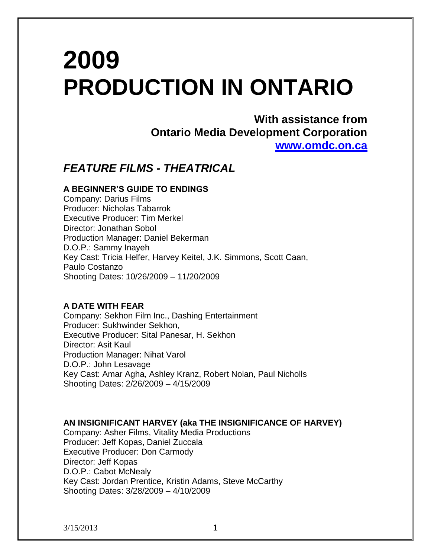# **2009 PRODUCTION IN ONTARIO**

**With assistance from Ontario Media Development Corporation [www.omdc.on.ca](http://www.omdc.on.ca/)**

# *FEATURE FILMS - THEATRICAL*

# **A BEGINNER'S GUIDE TO ENDINGS**

Company: Darius Films Producer: Nicholas Tabarrok Executive Producer: Tim Merkel Director: Jonathan Sobol Production Manager: Daniel Bekerman D.O.P.: Sammy Inayeh Key Cast: Tricia Helfer, Harvey Keitel, J.K. Simmons, Scott Caan, Paulo Costanzo Shooting Dates: 10/26/2009 – 11/20/2009

# **A DATE WITH FEAR**

Company: Sekhon Film Inc., Dashing Entertainment Producer: Sukhwinder Sekhon, Executive Producer: Sital Panesar, H. Sekhon Director: Asit Kaul Production Manager: Nihat Varol D.O.P.: John Lesavage Key Cast: Amar Agha, Ashley Kranz, Robert Nolan, Paul Nicholls Shooting Dates: 2/26/2009 – 4/15/2009

**AN INSIGNIFICANT HARVEY (aka THE INSIGNIFICANCE OF HARVEY)** Company: Asher Films, Vitality Media Productions Producer: Jeff Kopas, Daniel Zuccala Executive Producer: Don Carmody Director: Jeff Kopas D.O.P.: Cabot McNealy Key Cast: Jordan Prentice, Kristin Adams, Steve McCarthy Shooting Dates: 3/28/2009 – 4/10/2009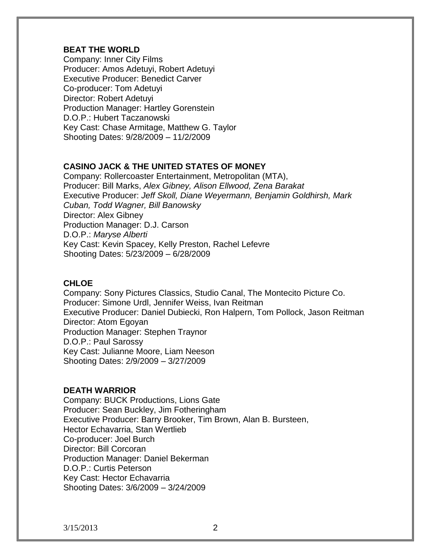# **BEAT THE WORLD**

Company: Inner City Films Producer: Amos Adetuyi, Robert Adetuyi Executive Producer: Benedict Carver Co-producer: Tom Adetuyi Director: Robert Adetuyi Production Manager: Hartley Gorenstein D.O.P.: Hubert Taczanowski Key Cast: Chase Armitage, Matthew G. Taylor Shooting Dates: 9/28/2009 – 11/2/2009

# **CASINO JACK & THE UNITED STATES OF MONEY**

Company: Rollercoaster Entertainment, Metropolitan (MTA), Producer: Bill Marks, *Alex Gibney, Alison Ellwood, Zena Barakat* Executive Producer: *Jeff Skoll, Diane Weyermann, Benjamin Goldhirsh, Mark Cuban, Todd Wagner, Bill Banowsky* Director: Alex Gibney Production Manager: D.J. Carson D.O.P.: *Maryse Alberti* Key Cast: Kevin Spacey, Kelly Preston, Rachel Lefevre Shooting Dates: 5/23/2009 – 6/28/2009

# **CHLOE**

Company: Sony Pictures Classics, Studio Canal, The Montecito Picture Co. Producer: Simone Urdl, Jennifer Weiss, Ivan Reitman Executive Producer: Daniel Dubiecki, Ron Halpern, Tom Pollock, Jason Reitman Director: Atom Egoyan Production Manager: Stephen Traynor D.O.P.: Paul Sarossy Key Cast: Julianne Moore, Liam Neeson Shooting Dates: 2/9/2009 – 3/27/2009

# **DEATH WARRIOR**

Company: BUCK Productions, Lions Gate Producer: Sean Buckley, Jim Fotheringham Executive Producer: Barry Brooker, Tim Brown, Alan B. Bursteen, Hector Echavarria, Stan Wertlieb Co-producer: Joel Burch Director: Bill Corcoran Production Manager: Daniel Bekerman D.O.P.: Curtis Peterson Key Cast: Hector Echavarria Shooting Dates: 3/6/2009 – 3/24/2009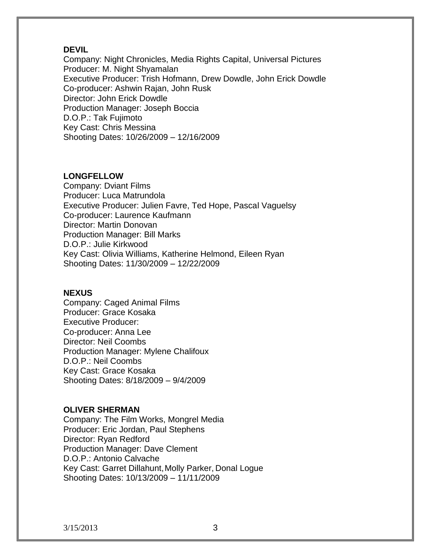### **DEVIL**

Company: Night Chronicles, Media Rights Capital, Universal Pictures Producer: M. Night Shyamalan Executive Producer: Trish Hofmann, Drew Dowdle, John Erick Dowdle Co-producer: Ashwin Rajan, John Rusk Director: John Erick Dowdle Production Manager: Joseph Boccia D.O.P.: Tak Fujimoto Key Cast: Chris Messina Shooting Dates: 10/26/2009 – 12/16/2009

# **LONGFELLOW**

Company: Dviant Films Producer: Luca Matrundola Executive Producer: Julien Favre, Ted Hope, Pascal Vaguelsy Co-producer: Laurence Kaufmann Director: Martin Donovan Production Manager: Bill Marks D.O.P.: Julie Kirkwood Key Cast: Olivia Williams, Katherine Helmond, Eileen Ryan Shooting Dates: 11/30/2009 – 12/22/2009

#### **NEXUS**

Company: Caged Animal Films Producer: Grace Kosaka Executive Producer: Co-producer: Anna Lee Director: Neil Coombs Production Manager: Mylene Chalifoux D.O.P.: Neil Coombs Key Cast: Grace Kosaka Shooting Dates: 8/18/2009 – 9/4/2009

# **OLIVER SHERMAN**

Company: The Film Works, Mongrel Media Producer: Eric Jordan, Paul Stephens Director: Ryan Redford Production Manager: Dave Clement D.O.P.: Antonio Calvache Key Cast: Garret Dillahunt,Molly Parker, Donal Logue Shooting Dates: 10/13/2009 – 11/11/2009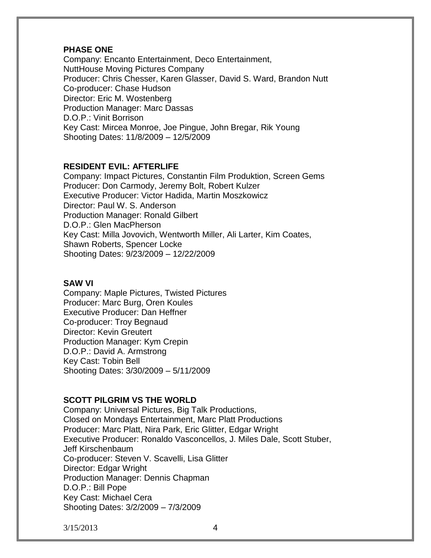# **PHASE ONE**

Company: Encanto Entertainment, Deco Entertainment, NuttHouse Moving Pictures Company Producer: Chris Chesser, Karen Glasser, David S. Ward, Brandon Nutt Co-producer: Chase Hudson Director: Eric M. Wostenberg Production Manager: Marc Dassas D.O.P.: Vinit Borrison Key Cast: Mircea Monroe, Joe Pingue, John Bregar, Rik Young Shooting Dates: 11/8/2009 – 12/5/2009

# **RESIDENT EVIL: AFTERLIFE**

Company: Impact Pictures, Constantin Film Produktion, Screen Gems Producer: Don Carmody, Jeremy Bolt, Robert Kulzer Executive Producer: Victor Hadida, Martin Moszkowicz Director: Paul W. S. Anderson Production Manager: Ronald Gilbert D.O.P.: Glen MacPherson Key Cast: Milla Jovovich, Wentworth Miller, Ali Larter, Kim Coates, Shawn Roberts, Spencer Locke Shooting Dates: 9/23/2009 – 12/22/2009

# **SAW VI**

Company: Maple Pictures, Twisted Pictures Producer: Marc Burg, Oren Koules Executive Producer: Dan Heffner Co-producer: Troy Begnaud Director: Kevin Greutert Production Manager: Kym Crepin D.O.P.: David A. Armstrong Key Cast: Tobin Bell Shooting Dates: 3/30/2009 – 5/11/2009

# **SCOTT PILGRIM VS THE WORLD**

Company: Universal Pictures, Big Talk Productions, Closed on Mondays Entertainment, Marc Platt Productions Producer: Marc Platt, Nira Park, Eric Glitter, Edgar Wright Executive Producer: Ronaldo Vasconcellos, J. Miles Dale, Scott Stuber, Jeff Kirschenbaum Co-producer: Steven V. Scavelli, Lisa Glitter Director: Edgar Wright Production Manager: Dennis Chapman D.O.P.: Bill Pope Key Cast: Michael Cera Shooting Dates: 3/2/2009 – 7/3/2009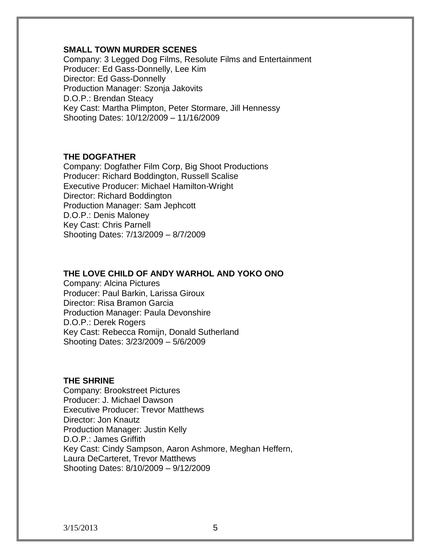# **SMALL TOWN MURDER SCENES**

Company: 3 Legged Dog Films, Resolute Films and Entertainment Producer: Ed Gass-Donnelly, Lee Kim Director: Ed Gass-Donnelly Production Manager: Szonja Jakovits D.O.P.: Brendan Steacy Key Cast: Martha Plimpton, Peter Stormare, Jill Hennessy Shooting Dates: 10/12/2009 – 11/16/2009

# **THE DOGFATHER**

Company: Dogfather Film Corp, Big Shoot Productions Producer: Richard Boddington, Russell Scalise Executive Producer: Michael Hamilton-Wright Director: Richard Boddington Production Manager: Sam Jephcott D.O.P.: Denis Maloney Key Cast: Chris Parnell Shooting Dates: 7/13/2009 – 8/7/2009

# **THE LOVE CHILD OF ANDY WARHOL AND YOKO ONO**

Company: Alcina Pictures Producer: Paul Barkin, Larissa Giroux Director: Risa Bramon Garcia Production Manager: Paula Devonshire D.O.P.: Derek Rogers Key Cast: Rebecca Romijn, Donald Sutherland Shooting Dates: 3/23/2009 – 5/6/2009

# **THE SHRINE**

Company: Brookstreet Pictures Producer: J. Michael Dawson Executive Producer: Trevor Matthews Director: Jon Knautz Production Manager: Justin Kelly D.O.P.: James Griffith Key Cast: Cindy Sampson, Aaron Ashmore, Meghan Heffern, Laura DeCarteret, Trevor Matthews Shooting Dates: 8/10/2009 – 9/12/2009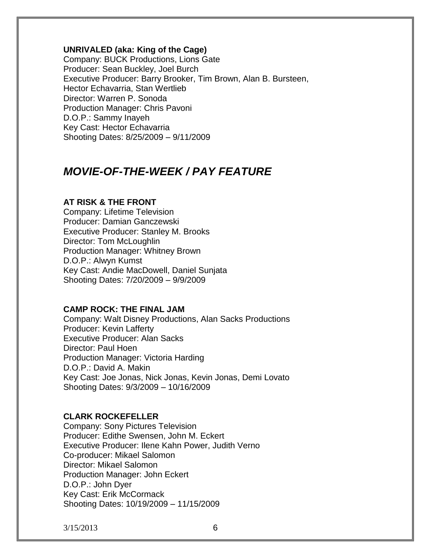### **UNRIVALED (aka: King of the Cage)**

Company: BUCK Productions, Lions Gate Producer: Sean Buckley, Joel Burch Executive Producer: Barry Brooker, Tim Brown, Alan B. Bursteen, Hector Echavarria, Stan Wertlieb Director: Warren P. Sonoda Production Manager: Chris Pavoni D.O.P.: Sammy Inayeh Key Cast: Hector Echavarria Shooting Dates: 8/25/2009 – 9/11/2009

# *MOVIE-OF-THE-WEEK / PAY FEATURE*

# **AT RISK & THE FRONT**

Company: Lifetime Television Producer: Damian Ganczewski Executive Producer: Stanley M. Brooks Director: Tom McLoughlin Production Manager: Whitney Brown D.O.P.: Alwyn Kumst Key Cast: Andie MacDowell, Daniel Sunjata Shooting Dates: 7/20/2009 – 9/9/2009

#### **CAMP ROCK: THE FINAL JAM**

Company: Walt Disney Productions, Alan Sacks Productions Producer: Kevin Lafferty Executive Producer: Alan Sacks Director: Paul Hoen Production Manager: Victoria Harding D.O.P.: David A. Makin Key Cast: Joe Jonas, Nick Jonas, Kevin Jonas, Demi Lovato Shooting Dates: 9/3/2009 – 10/16/2009

# **CLARK ROCKEFELLER**

Company: Sony Pictures Television Producer: Edithe Swensen, John M. Eckert Executive Producer: Ilene Kahn Power, Judith Verno Co-producer: Mikael Salomon Director: Mikael Salomon Production Manager: John Eckert D.O.P.: John Dyer Key Cast: Erik McCormack Shooting Dates: 10/19/2009 – 11/15/2009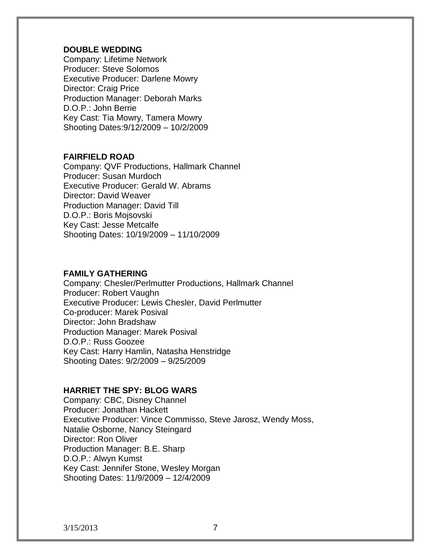### **DOUBLE WEDDING**

Company: Lifetime Network Producer: Steve Solomos Executive Producer: Darlene Mowry Director: Craig Price Production Manager: Deborah Marks D.O.P.: John Berrie Key Cast: Tia Mowry, Tamera Mowry Shooting Dates:9/12/2009 – 10/2/2009

# **FAIRFIELD ROAD**

Company: QVF Productions, Hallmark Channel Producer: Susan Murdoch Executive Producer: Gerald W. Abrams Director: David Weaver Production Manager: David Till D.O.P.: Boris Mojsovski Key Cast: Jesse Metcalfe Shooting Dates: 10/19/2009 – 11/10/2009

# **FAMILY GATHERING**

Company: Chesler/Perlmutter Productions, Hallmark Channel Producer: Robert Vaughn Executive Producer: Lewis Chesler, David Perlmutter Co-producer: Marek Posival Director: John Bradshaw Production Manager: Marek Posival D.O.P.: Russ Goozee Key Cast: Harry Hamlin, Natasha Henstridge Shooting Dates: 9/2/2009 – 9/25/2009

# **HARRIET THE SPY: BLOG WARS**

Company: CBC, Disney Channel Producer: Jonathan Hackett Executive Producer: Vince Commisso, Steve Jarosz, Wendy Moss, Natalie Osborne, Nancy Steingard Director: Ron Oliver Production Manager: B.E. Sharp D.O.P.: Alwyn Kumst Key Cast: Jennifer Stone, Wesley Morgan Shooting Dates: 11/9/2009 – 12/4/2009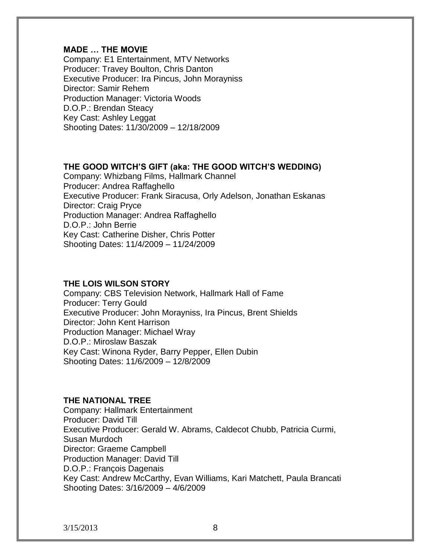# **MADE … THE MOVIE**

Company: E1 Entertainment, MTV Networks Producer: Travey Boulton, Chris Danton Executive Producer: Ira Pincus, John Morayniss Director: Samir Rehem Production Manager: Victoria Woods D.O.P.: Brendan Steacy Key Cast: Ashley Leggat Shooting Dates: 11/30/2009 – 12/18/2009

# **THE GOOD WITCH'S GIFT (aka: THE GOOD WITCH'S WEDDING)**

Company: Whizbang Films, Hallmark Channel Producer: Andrea Raffaghello Executive Producer: Frank Siracusa, Orly Adelson, Jonathan Eskanas Director: Craig Pryce Production Manager: Andrea Raffaghello D.O.P.: John Berrie Key Cast: Catherine Disher, Chris Potter Shooting Dates: 11/4/2009 – 11/24/2009

### **THE LOIS WILSON STORY**

Company: CBS Television Network, Hallmark Hall of Fame Producer: Terry Gould Executive Producer: John Morayniss, Ira Pincus, Brent Shields Director: John Kent Harrison Production Manager: Michael Wray D.O.P.: Miroslaw Baszak Key Cast: Winona Ryder, Barry Pepper, Ellen Dubin Shooting Dates: 11/6/2009 – 12/8/2009

### **THE NATIONAL TREE**

Company: Hallmark Entertainment Producer: David Till Executive Producer: Gerald W. Abrams, Caldecot Chubb, Patricia Curmi, Susan Murdoch Director: Graeme Campbell Production Manager: David Till D.O.P.: François Dagenais Key Cast: Andrew McCarthy, Evan Williams, Kari Matchett, Paula Brancati Shooting Dates: 3/16/2009 – 4/6/2009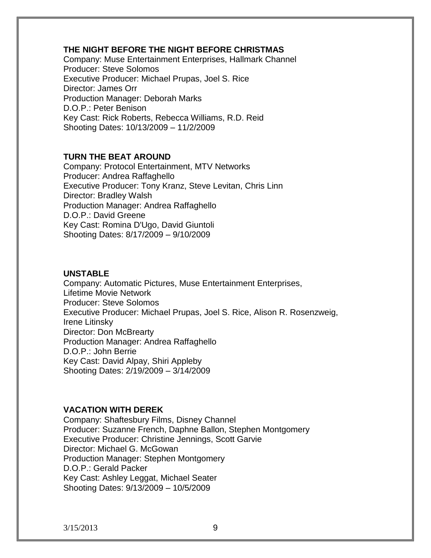# **THE NIGHT BEFORE THE NIGHT BEFORE CHRISTMAS**

Company: Muse Entertainment Enterprises, Hallmark Channel Producer: Steve Solomos Executive Producer: Michael Prupas, Joel S. Rice Director: James Orr Production Manager: Deborah Marks D.O.P.: Peter Benison Key Cast: Rick Roberts, Rebecca Williams, R.D. Reid Shooting Dates: 10/13/2009 – 11/2/2009

# **TURN THE BEAT AROUND**

Company: Protocol Entertainment, MTV Networks Producer: Andrea Raffaghello Executive Producer: Tony Kranz, Steve Levitan, Chris Linn Director: Bradley Walsh Production Manager: Andrea Raffaghello D.O.P.: David Greene Key Cast: Romina D'Ugo, David Giuntoli Shooting Dates: 8/17/2009 – 9/10/2009

# **UNSTABLE**

Company: Automatic Pictures, Muse Entertainment Enterprises, Lifetime Movie Network Producer: Steve Solomos Executive Producer: Michael Prupas, Joel S. Rice, Alison R. Rosenzweig, Irene Litinsky Director: Don McBrearty Production Manager: Andrea Raffaghello D.O.P.: John Berrie Key Cast: David Alpay, Shiri Appleby Shooting Dates: 2/19/2009 – 3/14/2009

# **VACATION WITH DEREK**

Company: Shaftesbury Films, Disney Channel Producer: Suzanne French, Daphne Ballon, Stephen Montgomery Executive Producer: Christine Jennings, Scott Garvie Director: Michael G. McGowan Production Manager: Stephen Montgomery D.O.P.: Gerald Packer Key Cast: Ashley Leggat, Michael Seater Shooting Dates: 9/13/2009 – 10/5/2009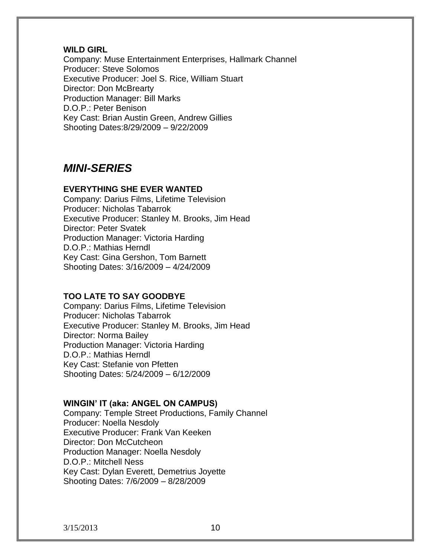### **WILD GIRL**

Company: Muse Entertainment Enterprises, Hallmark Channel Producer: Steve Solomos Executive Producer: Joel S. Rice, William Stuart Director: Don McBrearty Production Manager: Bill Marks D.O.P.: Peter Benison Key Cast: Brian Austin Green, Andrew Gillies Shooting Dates:8/29/2009 – 9/22/2009

# *MINI-SERIES*

# **EVERYTHING SHE EVER WANTED**

Company: Darius Films, Lifetime Television Producer: Nicholas Tabarrok Executive Producer: Stanley M. Brooks, Jim Head Director: Peter Svatek Production Manager: Victoria Harding D.O.P.: Mathias Herndl Key Cast: Gina Gershon, Tom Barnett Shooting Dates: 3/16/2009 – 4/24/2009

# **TOO LATE TO SAY GOODBYE**

Company: Darius Films, Lifetime Television Producer: Nicholas Tabarrok Executive Producer: Stanley M. Brooks, Jim Head Director: Norma Bailey Production Manager: Victoria Harding D.O.P.: Mathias Herndl Key Cast: Stefanie von Pfetten Shooting Dates: 5/24/2009 – 6/12/2009

# **WINGIN' IT (aka: ANGEL ON CAMPUS)**

Company: Temple Street Productions, Family Channel Producer: Noella Nesdoly Executive Producer: Frank Van Keeken Director: Don McCutcheon Production Manager: Noella Nesdoly D.O.P.: Mitchell Ness Key Cast: Dylan Everett, Demetrius Joyette Shooting Dates: 7/6/2009 – 8/28/2009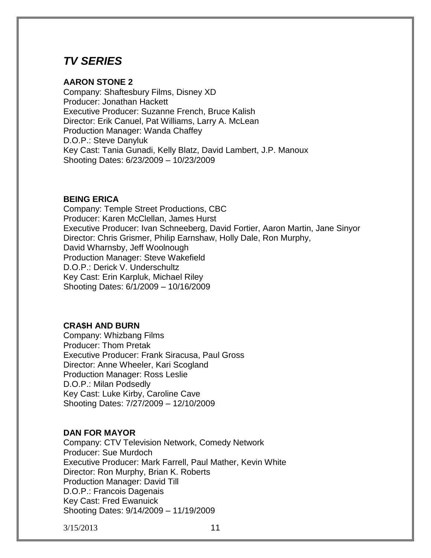# *TV SERIES*

# **AARON STONE 2**

Company: Shaftesbury Films, Disney XD Producer: Jonathan Hackett Executive Producer: Suzanne French, Bruce Kalish Director: Erik Canuel, Pat Williams, Larry A. McLean Production Manager: Wanda Chaffey D.O.P.: Steve Danyluk Key Cast: Tania Gunadi, Kelly Blatz, David Lambert, J.P. Manoux Shooting Dates: 6/23/2009 – 10/23/2009

# **BEING ERICA**

Company: Temple Street Productions, CBC Producer: Karen McClellan, James Hurst Executive Producer: Ivan Schneeberg, David Fortier, Aaron Martin, Jane Sinyor Director: Chris Grismer, Philip Earnshaw, Holly Dale, Ron Murphy, David Wharnsby, Jeff Woolnough Production Manager: Steve Wakefield D.O.P.: Derick V. Underschultz Key Cast: Erin Karpluk, Michael Riley Shooting Dates: 6/1/2009 – 10/16/2009

# **CRA\$H AND BURN**

Company: Whizbang Films Producer: Thom Pretak Executive Producer: Frank Siracusa, Paul Gross Director: Anne Wheeler, Kari Scogland Production Manager: Ross Leslie D.O.P.: Milan Podsedly Key Cast: Luke Kirby, Caroline Cave Shooting Dates: 7/27/2009 – 12/10/2009

# **DAN FOR MAYOR**

Company: CTV Television Network, Comedy Network Producer: Sue Murdoch Executive Producer: Mark Farrell, Paul Mather, Kevin White Director: Ron Murphy, Brian K. Roberts Production Manager: David Till D.O.P.: Francois Dagenais Key Cast: Fred Ewanuick Shooting Dates: 9/14/2009 – 11/19/2009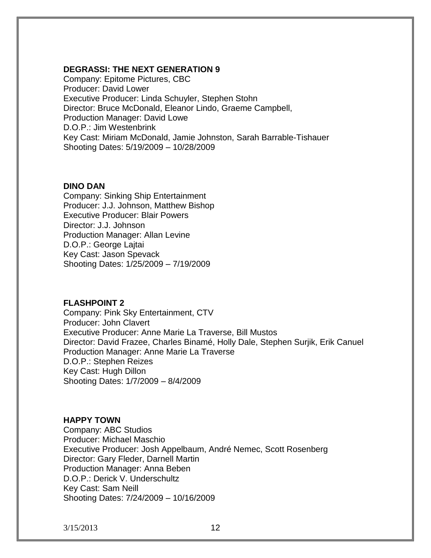### **DEGRASSI: THE NEXT GENERATION 9**

Company: Epitome Pictures, CBC Producer: David Lower Executive Producer: Linda Schuyler, Stephen Stohn Director: Bruce McDonald, Eleanor Lindo, Graeme Campbell, Production Manager: David Lowe D.O.P.: Jim Westenbrink Key Cast: Miriam McDonald, Jamie Johnston, Sarah Barrable-Tishauer Shooting Dates: 5/19/2009 – 10/28/2009

#### **DINO DAN**

Company: Sinking Ship Entertainment Producer: J.J. Johnson, Matthew Bishop Executive Producer: Blair Powers Director: J.J. Johnson Production Manager: Allan Levine D.O.P.: George Lajtai Key Cast: Jason Spevack Shooting Dates: 1/25/2009 – 7/19/2009

# **FLASHPOINT 2**

Company: Pink Sky Entertainment, CTV Producer: John Clavert Executive Producer: Anne Marie La Traverse, Bill Mustos Director: David Frazee, Charles Binamé, Holly Dale, Stephen Surjik, Erik Canuel Production Manager: Anne Marie La Traverse D.O.P.: Stephen Reizes Key Cast: Hugh Dillon Shooting Dates: 1/7/2009 – 8/4/2009

# **HAPPY TOWN**

Company: ABC Studios Producer: Michael Maschio Executive Producer: Josh Appelbaum, André Nemec, Scott Rosenberg Director: Gary Fleder, Darnell Martin Production Manager: Anna Beben D.O.P.: Derick V. Underschultz Key Cast: Sam Neill Shooting Dates: 7/24/2009 – 10/16/2009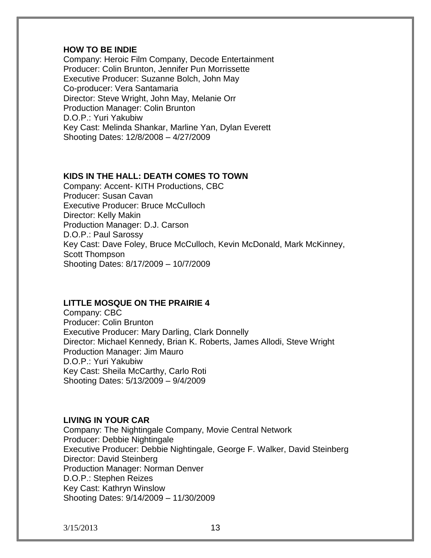### **HOW TO BE INDIE**

Company: Heroic Film Company, Decode Entertainment Producer: Colin Brunton, Jennifer Pun Morrissette Executive Producer: Suzanne Bolch, John May Co-producer: Vera Santamaria Director: Steve Wright, John May, Melanie Orr Production Manager: Colin Brunton D.O.P.: Yuri Yakubiw Key Cast: Melinda Shankar, Marline Yan, Dylan Everett Shooting Dates: 12/8/2008 – 4/27/2009

# **KIDS IN THE HALL: DEATH COMES TO TOWN**

Company: Accent- KITH Productions, CBC Producer: Susan Cavan Executive Producer: Bruce McCulloch Director: Kelly Makin Production Manager: D.J. Carson D.O.P.: Paul Sarossy Key Cast: Dave Foley, Bruce McCulloch, Kevin McDonald, Mark McKinney, Scott Thompson Shooting Dates: 8/17/2009 – 10/7/2009

# **LITTLE MOSQUE ON THE PRAIRIE 4**

Company: CBC Producer: Colin Brunton Executive Producer: Mary Darling, Clark Donnelly Director: Michael Kennedy, Brian K. Roberts, James Allodi, Steve Wright Production Manager: Jim Mauro D.O.P.: Yuri Yakubiw Key Cast: Sheila McCarthy, Carlo Roti Shooting Dates: 5/13/2009 – 9/4/2009

# **LIVING IN YOUR CAR**

Company: The Nightingale Company, Movie Central Network Producer: Debbie Nightingale Executive Producer: Debbie Nightingale, George F. Walker, David Steinberg Director: David Steinberg Production Manager: Norman Denver D.O.P.: Stephen Reizes Key Cast: Kathryn Winslow Shooting Dates: 9/14/2009 – 11/30/2009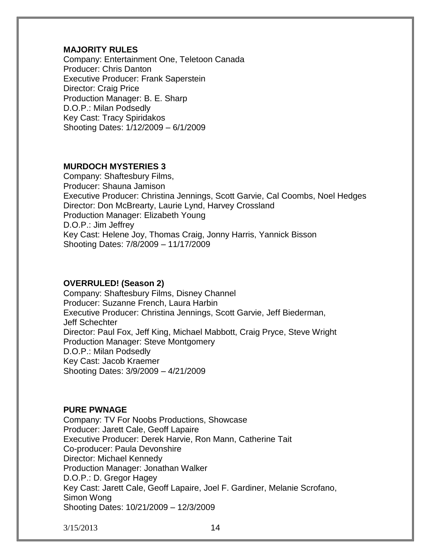# **MAJORITY RULES**

Company: Entertainment One, Teletoon Canada Producer: Chris Danton Executive Producer: Frank Saperstein Director: Craig Price Production Manager: B. E. Sharp D.O.P.: Milan Podsedly Key Cast: Tracy Spiridakos Shooting Dates: 1/12/2009 – 6/1/2009

# **MURDOCH MYSTERIES 3**

Company: Shaftesbury Films, Producer: Shauna Jamison Executive Producer: Christina Jennings, Scott Garvie, Cal Coombs, Noel Hedges Director: Don McBrearty, Laurie Lynd, Harvey Crossland Production Manager: Elizabeth Young D.O.P.: Jim Jeffrey Key Cast: Helene Joy, Thomas Craig, Jonny Harris, Yannick Bisson Shooting Dates: 7/8/2009 – 11/17/2009

# **OVERRULED! (Season 2)**

Company: Shaftesbury Films, Disney Channel Producer: Suzanne French, Laura Harbin Executive Producer: Christina Jennings, Scott Garvie, Jeff Biederman, Jeff Schechter Director: Paul Fox, Jeff King, Michael Mabbott, Craig Pryce, Steve Wright Production Manager: Steve Montgomery D.O.P.: Milan Podsedly Key Cast: Jacob Kraemer Shooting Dates: 3/9/2009 – 4/21/2009

# **PURE PWNAGE**

Company: TV For Noobs Productions, Showcase Producer: Jarett Cale, Geoff Lapaire Executive Producer: Derek Harvie, Ron Mann, Catherine Tait Co-producer: Paula Devonshire Director: Michael Kennedy Production Manager: Jonathan Walker D.O.P.: D. Gregor Hagey Key Cast: Jarett Cale, Geoff Lapaire, Joel F. Gardiner, Melanie Scrofano, Simon Wong Shooting Dates: 10/21/2009 – 12/3/2009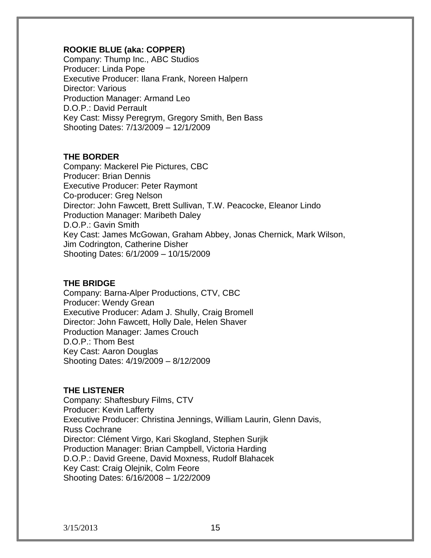# **ROOKIE BLUE (aka: COPPER)**

Company: Thump Inc., ABC Studios Producer: Linda Pope Executive Producer: Ilana Frank, Noreen Halpern Director: Various Production Manager: Armand Leo D.O.P.: David Perrault Key Cast: Missy Peregrym, Gregory Smith, Ben Bass Shooting Dates: 7/13/2009 – 12/1/2009

# **THE BORDER**

Company: Mackerel Pie Pictures, CBC Producer: Brian Dennis Executive Producer: Peter Raymont Co-producer: Greg Nelson Director: John Fawcett, Brett Sullivan, T.W. Peacocke, Eleanor Lindo Production Manager: Maribeth Daley D.O.P.: Gavin Smith Key Cast: James McGowan, Graham Abbey, Jonas Chernick, Mark Wilson, Jim Codrington, Catherine Disher Shooting Dates: 6/1/2009 – 10/15/2009

# **THE BRIDGE**

Company: Barna-Alper Productions, CTV, CBC Producer: Wendy Grean Executive Producer: Adam J. Shully, Craig Bromell Director: John Fawcett, Holly Dale, Helen Shaver Production Manager: James Crouch D.O.P.: Thom Best Key Cast: Aaron Douglas Shooting Dates: 4/19/2009 – 8/12/2009

# **THE LISTENER**

Company: Shaftesbury Films, CTV Producer: Kevin Lafferty Executive Producer: Christina Jennings, William Laurin, Glenn Davis, Russ Cochrane Director: Clément Virgo, Kari Skogland, Stephen Surjik Production Manager: Brian Campbell, Victoria Harding D.O.P.: David Greene, David Moxness, Rudolf Blahacek Key Cast: Craig Olejnik, Colm Feore Shooting Dates: 6/16/2008 – 1/22/2009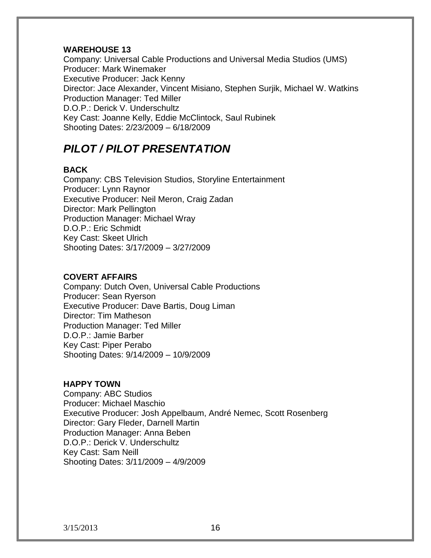# **WAREHOUSE 13**

Company: Universal Cable Productions and Universal Media Studios (UMS) Producer: Mark Winemaker Executive Producer: Jack Kenny Director: Jace Alexander, Vincent Misiano, Stephen Surjik, Michael W. Watkins Production Manager: Ted Miller D.O.P.: Derick V. Underschultz Key Cast: Joanne Kelly, Eddie McClintock, Saul Rubinek Shooting Dates: 2/23/2009 – 6/18/2009

# *PILOT / PILOT PRESENTATION*

# **BACK**

Company: CBS Television Studios, Storyline Entertainment Producer: Lynn Raynor Executive Producer: Neil Meron, Craig Zadan Director: Mark Pellington Production Manager: Michael Wray D.O.P.: Eric Schmidt Key Cast: Skeet Ulrich Shooting Dates: 3/17/2009 – 3/27/2009

# **COVERT AFFAIRS**

Company: Dutch Oven, Universal Cable Productions Producer: Sean Ryerson Executive Producer: Dave Bartis, Doug Liman Director: Tim Matheson Production Manager: Ted Miller D.O.P.: Jamie Barber Key Cast: Piper Perabo Shooting Dates: 9/14/2009 – 10/9/2009

# **HAPPY TOWN**

Company: ABC Studios Producer: Michael Maschio Executive Producer: Josh Appelbaum, André Nemec, Scott Rosenberg Director: Gary Fleder, Darnell Martin Production Manager: Anna Beben D.O.P.: Derick V. Underschultz Key Cast: Sam Neill Shooting Dates: 3/11/2009 – 4/9/2009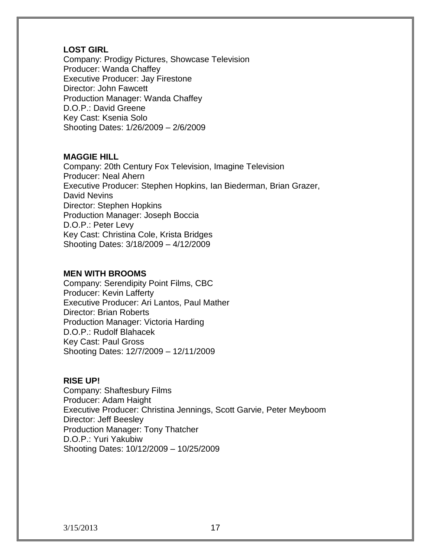# **LOST GIRL**

Company: Prodigy Pictures, Showcase Television Producer: Wanda Chaffey Executive Producer: Jay Firestone Director: John Fawcett Production Manager: Wanda Chaffey D.O.P.: David Greene Key Cast: Ksenia Solo Shooting Dates: 1/26/2009 – 2/6/2009

# **MAGGIE HILL**

Company: 20th Century Fox Television, Imagine Television Producer: Neal Ahern Executive Producer: Stephen Hopkins, Ian Biederman, Brian Grazer, David Nevins Director: Stephen Hopkins Production Manager: Joseph Boccia D.O.P.: Peter Levy Key Cast: Christina Cole, Krista Bridges Shooting Dates: 3/18/2009 – 4/12/2009

# **MEN WITH BROOMS**

Company: Serendipity Point Films, CBC Producer: Kevin Lafferty Executive Producer: Ari Lantos, Paul Mather Director: Brian Roberts Production Manager: Victoria Harding D.O.P.: Rudolf Blahacek Key Cast: Paul Gross Shooting Dates: 12/7/2009 – 12/11/2009

# **RISE UP!**

Company: Shaftesbury Films Producer: Adam Haight Executive Producer: Christina Jennings, Scott Garvie, Peter Meyboom Director: Jeff Beesley Production Manager: Tony Thatcher D.O.P.: Yuri Yakubiw Shooting Dates: 10/12/2009 – 10/25/2009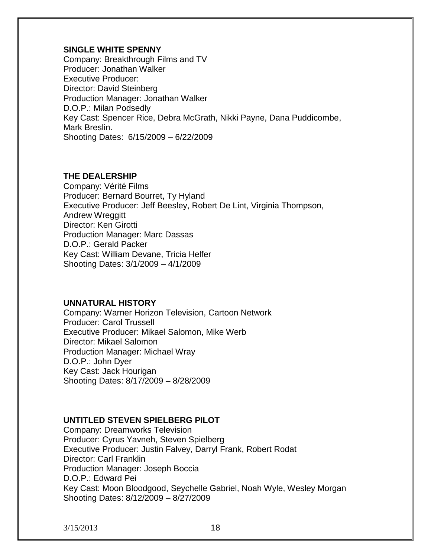# **SINGLE WHITE SPENNY**

Company: Breakthrough Films and TV Producer: Jonathan Walker Executive Producer: Director: David Steinberg Production Manager: Jonathan Walker D.O.P.: Milan Podsedly Key Cast: Spencer Rice, Debra McGrath, Nikki Payne, Dana Puddicombe, Mark Breslin. Shooting Dates: 6/15/2009 – 6/22/2009

# **THE DEALERSHIP**

Company: Vérité Films Producer: Bernard Bourret, Ty Hyland Executive Producer: Jeff Beesley, Robert De Lint, Virginia Thompson, **Andrew Wreggitt** Director: Ken Girotti Production Manager: Marc Dassas D.O.P.: Gerald Packer Key Cast: William Devane, Tricia Helfer Shooting Dates: 3/1/2009 – 4/1/2009

# **UNNATURAL HISTORY**

Company: Warner Horizon Television, Cartoon Network Producer: Carol Trussell Executive Producer: Mikael Salomon, Mike Werb Director: Mikael Salomon Production Manager: Michael Wray D.O.P.: John Dyer Key Cast: Jack Hourigan Shooting Dates: 8/17/2009 – 8/28/2009

# **UNTITLED STEVEN SPIELBERG PILOT**

Company: Dreamworks Television Producer: Cyrus Yavneh, Steven Spielberg Executive Producer: Justin Falvey, Darryl Frank, Robert Rodat Director: Carl Franklin Production Manager: Joseph Boccia D.O.P.: Edward Pei Key Cast: Moon Bloodgood, Seychelle Gabriel, Noah Wyle, Wesley Morgan Shooting Dates: 8/12/2009 – 8/27/2009